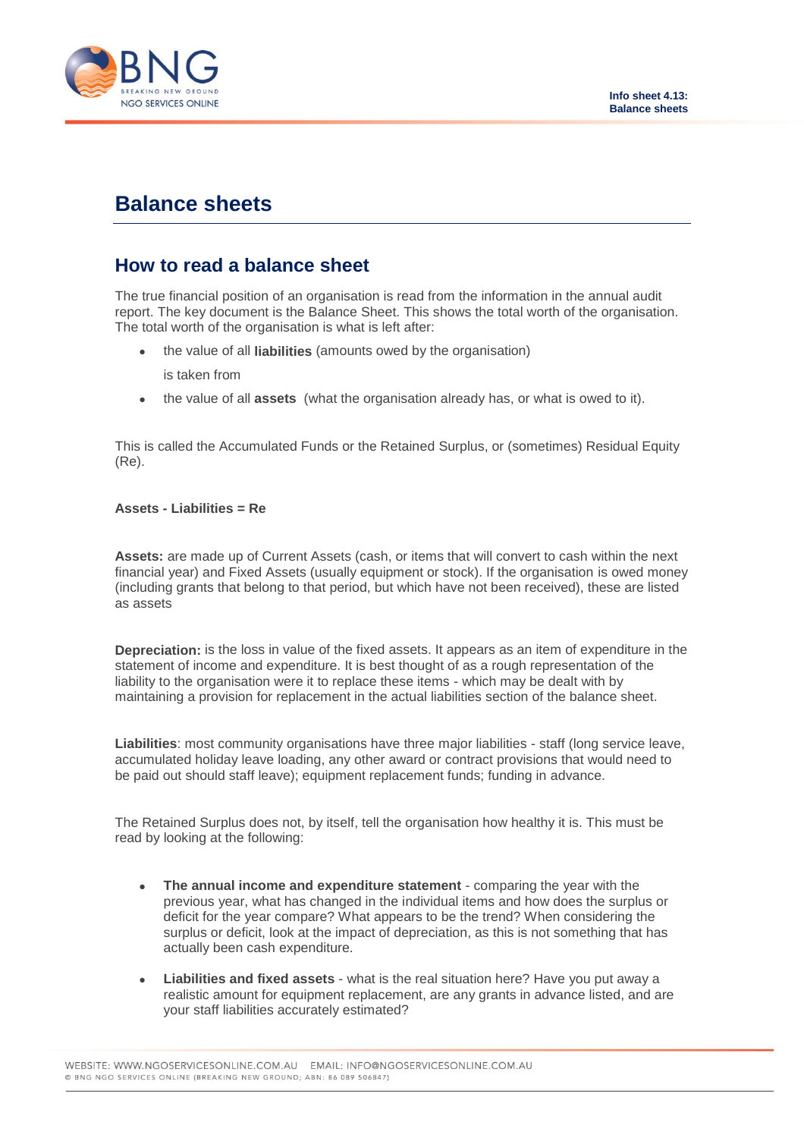

# **Balance sheets**

# **How to read a balance sheet**

The true financial position of an organisation is read from the information in the annual audit report. The key document is the Balance Sheet. This shows the total worth of the organisation. The total worth of the organisation is what is left after:

the value of all **liabilities** (amounts owed by the organisation)

is taken from

the value of all **assets** (what the organisation already has, or what is owed to it).

This is called the Accumulated Funds or the Retained Surplus, or (sometimes) Residual Equity (Re).

## **Assets - Liabilities = Re**

**Assets:** are made up of Current Assets (cash, or items that will convert to cash within the next financial year) and Fixed Assets (usually equipment or stock). If the organisation is owed money (including grants that belong to that period, but which have not been received), these are listed as assets

**Depreciation:** is the loss in value of the fixed assets. It appears as an item of expenditure in the statement of income and expenditure. It is best thought of as a rough representation of the liability to the organisation were it to replace these items - which may be dealt with by maintaining a provision for replacement in the actual liabilities section of the balance sheet.

**Liabilities**: most community organisations have three major liabilities - staff (long service leave, accumulated holiday leave loading, any other award or contract provisions that would need to be paid out should staff leave); equipment replacement funds; funding in advance.

The Retained Surplus does not, by itself, tell the organisation how healthy it is. This must be read by looking at the following:

- **The annual income and expenditure statement** comparing the year with the previous year, what has changed in the individual items and how does the surplus or deficit for the year compare? What appears to be the trend? When considering the surplus or deficit, look at the impact of depreciation, as this is not something that has actually been cash expenditure.
- **Liabilities and fixed assets** what is the real situation here? Have you put away a realistic amount for equipment replacement, are any grants in advance listed, and are your staff liabilities accurately estimated?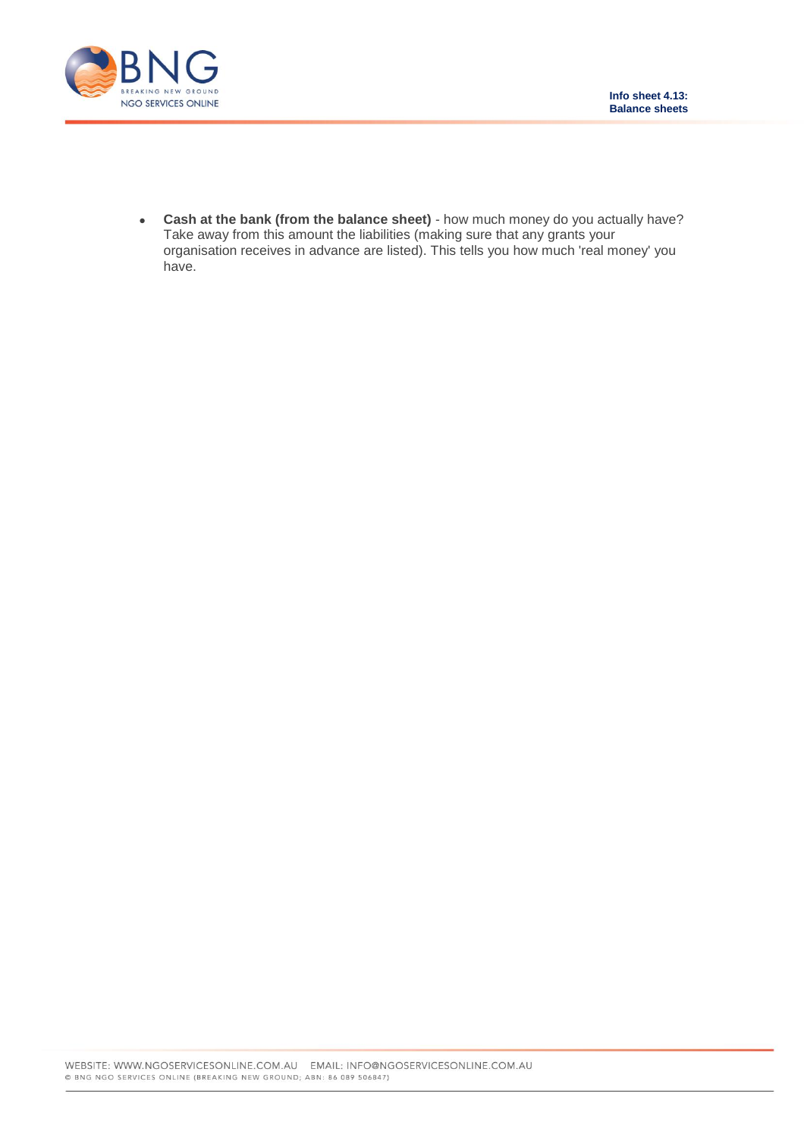

 **Cash at the bank (from the balance sheet)** - how much money do you actually have? Take away from this amount the liabilities (making sure that any grants your organisation receives in advance are listed). This tells you how much 'real money' you have.